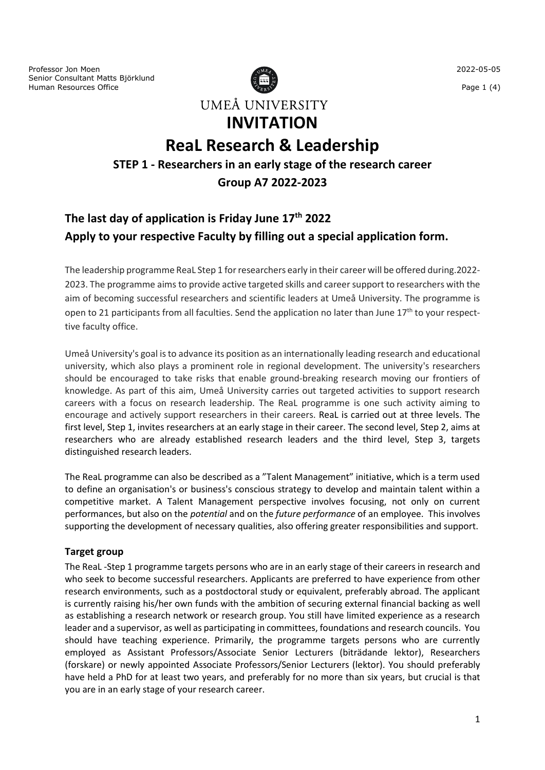Professor Jon Moen Senior Consultant Matts Björklund Human Resources Office



# **ReaL Research & Leadership**

### **STEP 1 - Researchers in an early stage of the research career**

**Group A7 2022-2023**

# **The last day of application is Friday June 17th 2022 Apply to your respective Faculty by filling out a special application form.**

The leadership programme ReaL Step 1 for researchers early in their career will be offered during.2022- 2023. The programme aims to provide active targeted skills and career support to researchers with the aim of becoming successful researchers and scientific leaders at Umeå University. The programme is open to 21 participants from all faculties. Send the application no later than June 17<sup>th</sup> to your respecttive faculty office.

Umeå University's goal is to advance its position as an internationally leading research and educational university, which also plays a prominent role in regional development. The university's researchers should be encouraged to take risks that enable ground-breaking research moving our frontiers of knowledge. As part of this aim, Umeå University carries out targeted activities to support research careers with a focus on research leadership. The ReaL programme is one such activity aiming to encourage and actively support researchers in their careers. ReaL is carried out at three levels. The first level, Step 1, invites researchers at an early stage in their career. The second level, Step 2, aims at researchers who are already established research leaders and the third level, Step 3, targets distinguished research leaders.

The ReaL programme can also be described as a "Talent Management" initiative, which is a term used to define an organisation's or business's conscious strategy to develop and maintain talent within a competitive market. A Talent Management perspective involves focusing, not only on current performances, but also on the *potential* and on the *future performance* of an employee. This involves supporting the development of necessary qualities, also offering greater responsibilities and support.

### **Target group**

The ReaL -Step 1 programme targets persons who are in an early stage of their careers in research and who seek to become successful researchers. Applicants are preferred to have experience from other research environments, such as a postdoctoral study or equivalent, preferably abroad. The applicant is currently raising his/her own funds with the ambition of securing external financial backing as well as establishing a research network or research group. You still have limited experience as a research leader and a supervisor, as well as participating in committees, foundations and research councils. You should have teaching experience. Primarily, the programme targets persons who are currently employed as Assistant Professors/Associate Senior Lecturers (biträdande lektor), Researchers (forskare) or newly appointed Associate Professors/Senior Lecturers (lektor). You should preferably have held a PhD for at least two years, and preferably for no more than six years, but crucial is that you are in an early stage of your research career.

Page 1 (4)

2022-05-05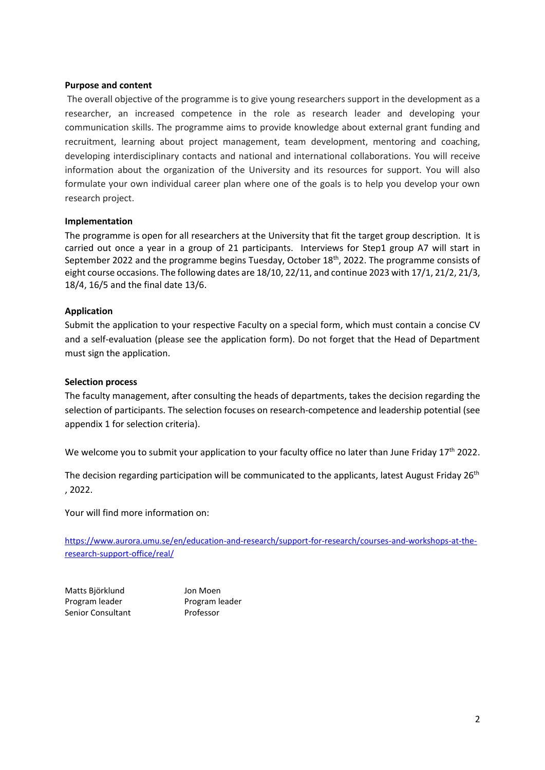#### **Purpose and content**

The overall objective of the programme is to give young researchers support in the development as a researcher, an increased competence in the role as research leader and developing your communication skills. The programme aims to provide knowledge about external grant funding and recruitment, learning about project management, team development, mentoring and coaching, developing interdisciplinary contacts and national and international collaborations. You will receive information about the organization of the University and its resources for support. You will also formulate your own individual career plan where one of the goals is to help you develop your own research project.

#### **Implementation**

The programme is open for all researchers at the University that fit the target group description. It is carried out once a year in a group of 21 participants. Interviews for Step1 group A7 will start in September 2022 and the programme begins Tuesday, October 18<sup>th</sup>, 2022. The programme consists of eight course occasions. The following dates are 18/10, 22/11, and continue 2023 with 17/1, 21/2, 21/3, 18/4, 16/5 and the final date 13/6.

#### **Application**

Submit the application to your respective Faculty on a special form, which must contain a concise CV and a self-evaluation (please see the application form). Do not forget that the Head of Department must sign the application.

#### **Selection process**

The faculty management, after consulting the heads of departments, takes the decision regarding the selection of participants. The selection focuses on research-competence and leadership potential (see appendix 1 for selection criteria).

We welcome you to submit your application to your faculty office no later than June Friday  $17<sup>th</sup>$  2022.

The decision regarding participation will be communicated to the applicants, latest August Friday 26<sup>th</sup> , 2022.

Your will find more information on:

[https://www.aurora.umu.se/en/education-and-research/support-for-research/courses-and-workshops-at-the](https://www.aurora.umu.se/en/education-and-research/support-for-research/courses-and-workshops-at-the-research-support-office/real/)[research-support-office/real/](https://www.aurora.umu.se/en/education-and-research/support-for-research/courses-and-workshops-at-the-research-support-office/real/)

Matts Björklund Jon Moen Program leader Program leader Senior Consultant Professor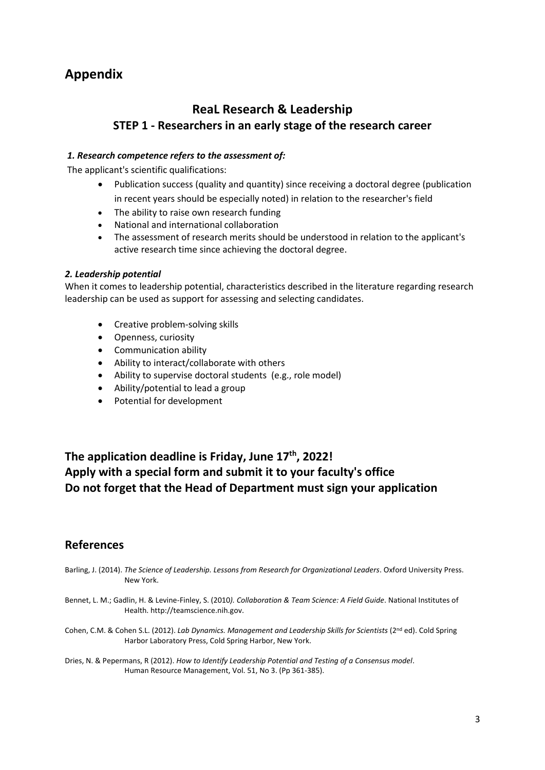# **Appendix**

### **ReaL Research & Leadership STEP 1 - Researchers in an early stage of the research career**

#### *1. Research competence refers to the assessment of:*

The applicant's scientific qualifications:

- Publication success (quality and quantity) since receiving a doctoral degree (publication in recent years should be especially noted) in relation to the researcher's field
- The ability to raise own research funding
- National and international collaboration
- The assessment of research merits should be understood in relation to the applicant's active research time since achieving the doctoral degree.

#### *2. Leadership potential*

When it comes to leadership potential, characteristics described in the literature regarding research leadership can be used as support for assessing and selecting candidates.

- Creative problem-solving skills
- Openness, curiosity
- Communication ability
- Ability to interact/collaborate with others
- Ability to supervise doctoral students (e.g., role model)
- Ability/potential to lead a group
- Potential for development

## **The application deadline is Friday, June 17th, 2022! Apply with a special form and submit it to your faculty's office Do not forget that the Head of Department must sign your application**

### **References**

- Barling, J. (2014). *The Science of Leadership. Lessons from Research for Organizational Leaders*. Oxford University Press. New York.
- Bennet, L. M.; Gadlin, H. & Levine-Finley, S. (2010*). Collaboration & Team Science: A Field Guide*. National Institutes of Health. http://teamscience.nih.gov.
- Cohen, C.M. & Cohen S.L. (2012). *Lab Dynamics. Management and Leadership Skills for Scientists* (2<sup>nd</sup> ed). Cold Spring Harbor Laboratory Press, Cold Spring Harbor, New York.
- Dries, N. & Pepermans, R (2012). *How to Identify Leadership Potential and Testing of a Consensus model*. Human Resource Management, Vol. 51, No 3. (Pp 361-385).